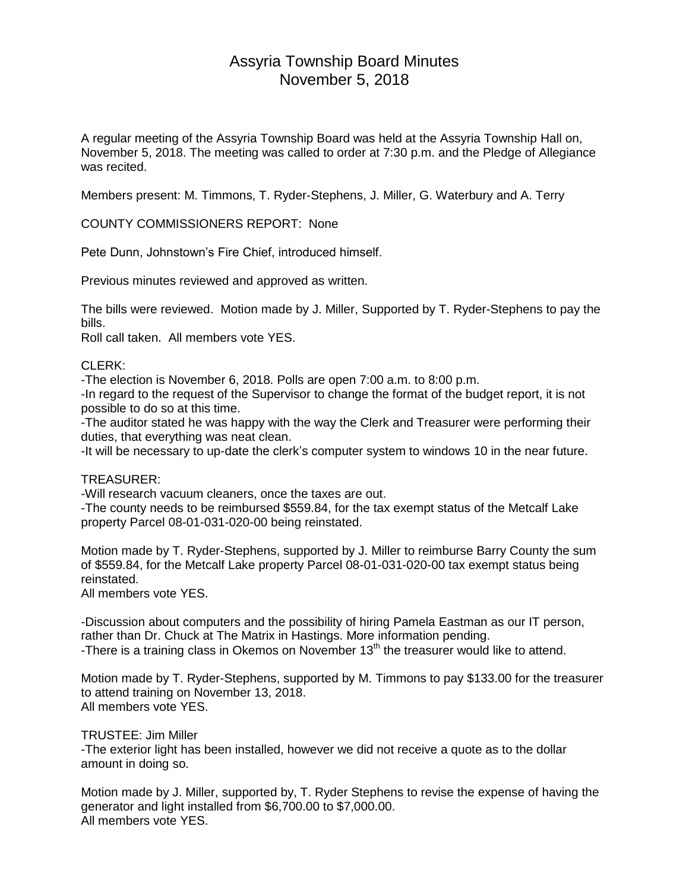# Assyria Township Board Minutes November 5, 2018

A regular meeting of the Assyria Township Board was held at the Assyria Township Hall on, November 5, 2018. The meeting was called to order at 7:30 p.m. and the Pledge of Allegiance was recited.

Members present: M. Timmons, T. Ryder-Stephens, J. Miller, G. Waterbury and A. Terry

COUNTY COMMISSIONERS REPORT: None

Pete Dunn, Johnstown's Fire Chief, introduced himself.

Previous minutes reviewed and approved as written.

The bills were reviewed. Motion made by J. Miller, Supported by T. Ryder-Stephens to pay the bills.

Roll call taken. All members vote YES.

# CLERK:

-The election is November 6, 2018. Polls are open 7:00 a.m. to 8:00 p.m.

-In regard to the request of the Supervisor to change the format of the budget report, it is not possible to do so at this time.

-The auditor stated he was happy with the way the Clerk and Treasurer were performing their duties, that everything was neat clean.

-It will be necessary to up-date the clerk's computer system to windows 10 in the near future.

## TREASURER:

-Will research vacuum cleaners, once the taxes are out.

-The county needs to be reimbursed \$559.84, for the tax exempt status of the Metcalf Lake property Parcel 08-01-031-020-00 being reinstated.

Motion made by T. Ryder-Stephens, supported by J. Miller to reimburse Barry County the sum of \$559.84, for the Metcalf Lake property Parcel 08-01-031-020-00 tax exempt status being reinstated.

All members vote YES.

-Discussion about computers and the possibility of hiring Pamela Eastman as our IT person, rather than Dr. Chuck at The Matrix in Hastings. More information pending. -There is a training class in Okemos on November 13<sup>th</sup> the treasurer would like to attend.

Motion made by T. Ryder-Stephens, supported by M. Timmons to pay \$133.00 for the treasurer to attend training on November 13, 2018. All members vote YES.

## TRUSTEE: Jim Miller

-The exterior light has been installed, however we did not receive a quote as to the dollar amount in doing so.

Motion made by J. Miller, supported by, T. Ryder Stephens to revise the expense of having the generator and light installed from \$6,700.00 to \$7,000.00. All members vote YES.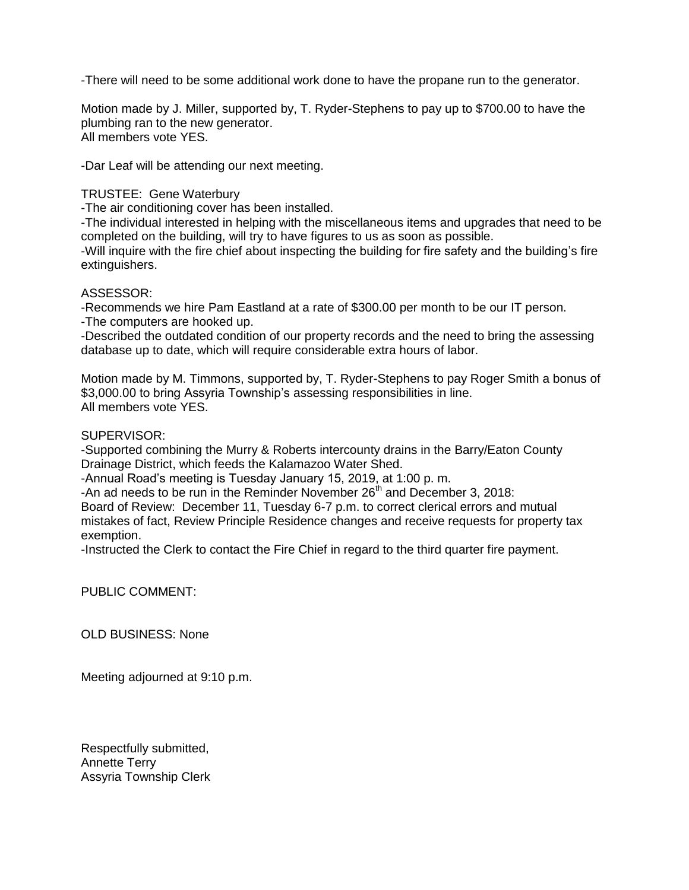-There will need to be some additional work done to have the propane run to the generator.

Motion made by J. Miller, supported by, T. Ryder-Stephens to pay up to \$700.00 to have the plumbing ran to the new generator. All members vote YES.

-Dar Leaf will be attending our next meeting.

#### TRUSTEE: Gene Waterbury

-The air conditioning cover has been installed.

-The individual interested in helping with the miscellaneous items and upgrades that need to be completed on the building, will try to have figures to us as soon as possible.

-Will inquire with the fire chief about inspecting the building for fire safety and the building's fire extinguishers.

#### ASSESSOR:

-Recommends we hire Pam Eastland at a rate of \$300.00 per month to be our IT person.

-The computers are hooked up.

-Described the outdated condition of our property records and the need to bring the assessing database up to date, which will require considerable extra hours of labor.

Motion made by M. Timmons, supported by, T. Ryder-Stephens to pay Roger Smith a bonus of \$3,000.00 to bring Assyria Township's assessing responsibilities in line. All members vote YES.

SUPERVISOR:

-Supported combining the Murry & Roberts intercounty drains in the Barry/Eaton County Drainage District, which feeds the Kalamazoo Water Shed.

-Annual Road's meeting is Tuesday January 15, 2019, at 1:00 p. m.

-An ad needs to be run in the Reminder November  $26<sup>th</sup>$  and December 3, 2018:

Board of Review: December 11, Tuesday 6-7 p.m. to correct clerical errors and mutual mistakes of fact, Review Principle Residence changes and receive requests for property tax exemption.

-Instructed the Clerk to contact the Fire Chief in regard to the third quarter fire payment.

PUBLIC COMMENT:

OLD BUSINESS: None

Meeting adjourned at 9:10 p.m.

Respectfully submitted, Annette Terry Assyria Township Clerk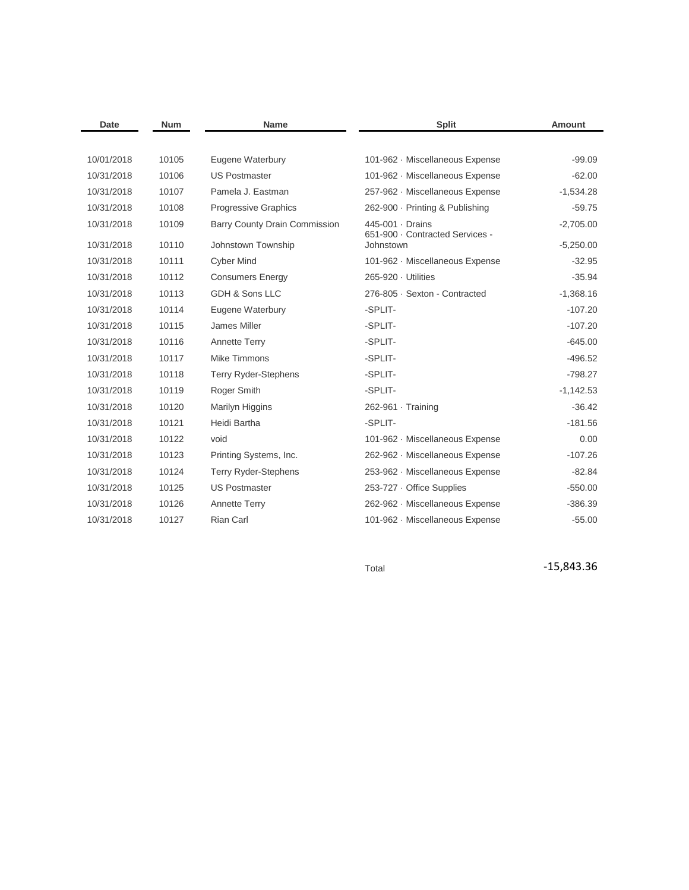| Date       | <b>Num</b> | <b>Name</b>                   | <b>Split</b>                                        | <b>Amount</b> |
|------------|------------|-------------------------------|-----------------------------------------------------|---------------|
|            |            |                               |                                                     |               |
| 10/01/2018 | 10105      | Eugene Waterbury              | 101-962 · Miscellaneous Expense                     | $-99.09$      |
| 10/31/2018 | 10106      | <b>US Postmaster</b>          | 101-962 · Miscellaneous Expense                     | $-62.00$      |
| 10/31/2018 | 10107      | Pamela J. Eastman             | 257-962 · Miscellaneous Expense                     | $-1,534.28$   |
| 10/31/2018 | 10108      | <b>Progressive Graphics</b>   | 262-900 · Printing & Publishing                     | $-59.75$      |
| 10/31/2018 | 10109      | Barry County Drain Commission | 445-001 · Drains<br>651-900 · Contracted Services - | $-2,705.00$   |
| 10/31/2018 | 10110      | Johnstown Township            | Johnstown                                           | $-5,250.00$   |
| 10/31/2018 | 10111      | <b>Cyber Mind</b>             | 101-962 · Miscellaneous Expense                     | $-32.95$      |
| 10/31/2018 | 10112      | <b>Consumers Energy</b>       | 265-920 · Utilities                                 | $-35.94$      |
| 10/31/2018 | 10113      | GDH & Sons LLC                | 276-805 · Sexton - Contracted                       | $-1,368.16$   |
| 10/31/2018 | 10114      | Eugene Waterbury              | -SPLIT-                                             | $-107.20$     |
| 10/31/2018 | 10115      | James Miller                  | -SPLIT-                                             | $-107.20$     |
| 10/31/2018 | 10116      | <b>Annette Terry</b>          | -SPLIT-                                             | $-645.00$     |
| 10/31/2018 | 10117      | Mike Timmons                  | -SPLIT-                                             | $-496.52$     |
| 10/31/2018 | 10118      | <b>Terry Ryder-Stephens</b>   | -SPLIT-                                             | $-798.27$     |
| 10/31/2018 | 10119      | Roger Smith                   | -SPLIT-                                             | $-1,142.53$   |
| 10/31/2018 | 10120      | Marilyn Higgins               | $262-961 \cdot$ Training                            | $-36.42$      |
| 10/31/2018 | 10121      | Heidi Bartha                  | -SPLIT-                                             | $-181.56$     |
| 10/31/2018 | 10122      | void                          | 101-962 · Miscellaneous Expense                     | 0.00          |
| 10/31/2018 | 10123      | Printing Systems, Inc.        | 262-962 · Miscellaneous Expense                     | $-107.26$     |
| 10/31/2018 | 10124      | <b>Terry Ryder-Stephens</b>   | 253-962 · Miscellaneous Expense                     | $-82.84$      |
| 10/31/2018 | 10125      | <b>US Postmaster</b>          | 253-727 · Office Supplies                           | $-550.00$     |
| 10/31/2018 | 10126      | <b>Annette Terry</b>          | 262-962 · Miscellaneous Expense                     | $-386.39$     |
| 10/31/2018 | 10127      | <b>Rian Carl</b>              | 101-962 · Miscellaneous Expense                     | $-55.00$      |

Total **-15,843.36**